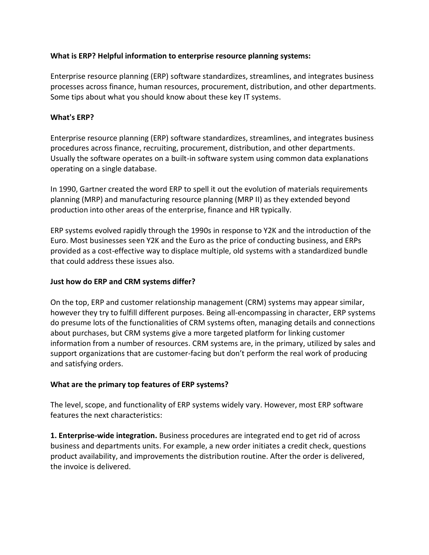### **What is ERP? Helpful information to enterprise resource planning systems:**

Enterprise resource planning (ERP) software standardizes, streamlines, and integrates business processes across finance, human resources, procurement, distribution, and other departments. Some tips about what you should know about these key IT systems.

#### **What's ERP?**

Enterprise resource planning (ERP) software standardizes, streamlines, and integrates business procedures across finance, recruiting, procurement, distribution, and other departments. Usually the software operates on a built-in software system using common data explanations operating on a single database.

In 1990, Gartner created the word ERP to spell it out the evolution of materials requirements planning (MRP) and manufacturing resource planning (MRP II) as they extended beyond production into other areas of the enterprise, finance and HR typically.

ERP systems evolved rapidly through the 1990s in response to Y2K and the introduction of the Euro. Most businesses seen Y2K and the Euro as the price of conducting business, and ERPs provided as a cost-effective way to displace multiple, old systems with a standardized bundle that could address these issues also.

### **Just how do ERP and CRM systems differ?**

On the top, ERP and customer relationship management (CRM) systems may appear similar, however they try to fulfill different purposes. Being all-encompassing in character, ERP systems do presume lots of the functionalities of CRM systems often, managing details and connections about purchases, but CRM systems give a more targeted platform for linking customer information from a number of resources. CRM systems are, in the primary, utilized by sales and support organizations that are customer-facing but don't perform the real work of producing and satisfying orders.

# **What are the primary top features of ERP systems?**

The level, scope, and functionality of ERP systems widely vary. However, most ERP software features the next characteristics:

**1. Enterprise-wide integration.** Business procedures are integrated end to get rid of across business and departments units. For example, a new order initiates a credit check, questions product availability, and improvements the distribution routine. After the order is delivered, the invoice is delivered.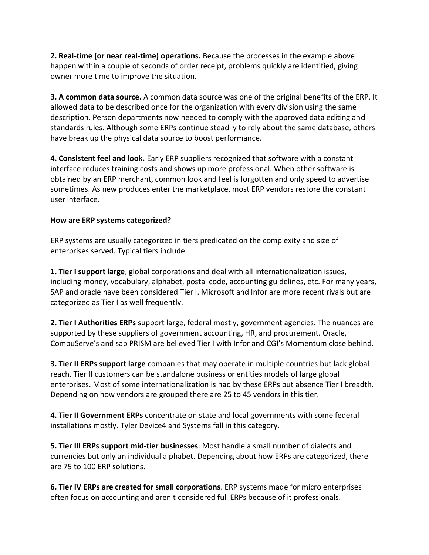**2. Real-time (or near real-time) operations.** Because the processes in the example above happen within a couple of seconds of order receipt, problems quickly are identified, giving owner more time to improve the situation.

**3. A common data source.** A common data source was one of the original benefits of the ERP. It allowed data to be described once for the organization with every division using the same description. Person departments now needed to comply with the approved data editing and standards rules. Although some ERPs continue steadily to rely about the same database, others have break up the physical data source to boost performance.

**4. Consistent feel and look.** Early ERP suppliers recognized that software with a constant interface reduces training costs and shows up more professional. When other software is obtained by an ERP merchant, common look and feel is forgotten and only speed to advertise sometimes. As new produces enter the marketplace, most ERP vendors restore the constant user interface.

# **How are ERP systems categorized?**

ERP systems are usually categorized in tiers predicated on the complexity and size of enterprises served. Typical tiers include:

**1. Tier I support large**, global corporations and deal with all internationalization issues, including money, vocabulary, alphabet, postal code, accounting guidelines, etc. For many years, SAP and oracle have been considered Tier I. Microsoft and Infor are more recent rivals but are categorized as Tier I as well frequently.

**2. Tier I Authorities ERPs** support large, federal mostly, government agencies. The nuances are supported by these suppliers of government accounting, HR, and procurement. Oracle, CompuServe's and sap PRISM are believed Tier I with Infor and CGI's Momentum close behind.

**3. Tier II ERPs support large** companies that may operate in multiple countries but lack global reach. Tier II customers can be standalone business or entities models of large global enterprises. Most of some internationalization is had by these ERPs but absence Tier I breadth. Depending on how vendors are grouped there are 25 to 45 vendors in this tier.

**4. Tier II Government ERPs** concentrate on state and local governments with some federal installations mostly. Tyler Device4 and Systems fall in this category.

**5. Tier III ERPs support mid-tier businesses**. Most handle a small number of dialects and currencies but only an individual alphabet. Depending about how ERPs are categorized, there are 75 to 100 ERP solutions.

**6. Tier IV ERPs are created for small corporations**. ERP systems made for micro enterprises often focus on accounting and aren't considered full ERPs because of it professionals.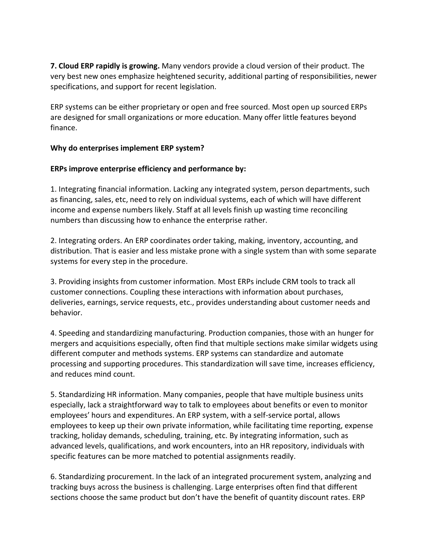**7. Cloud ERP rapidly is growing.** Many vendors provide a cloud version of their product. The very best new ones emphasize heightened security, additional parting of responsibilities, newer specifications, and support for recent legislation.

ERP systems can be either proprietary or open and free sourced. Most open up sourced ERPs are designed for small organizations or more education. Many offer little features beyond finance.

#### **Why do enterprises implement ERP system?**

#### **ERPs improve enterprise efficiency and performance by:**

1. Integrating financial information. Lacking any integrated system, person departments, such as financing, sales, etc, need to rely on individual systems, each of which will have different income and expense numbers likely. Staff at all levels finish up wasting time reconciling numbers than discussing how to enhance the enterprise rather.

2. Integrating orders. An ERP coordinates order taking, making, inventory, accounting, and distribution. That is easier and less mistake prone with a single system than with some separate systems for every step in the procedure.

3. Providing insights from customer information. Most ERPs include CRM tools to track all customer connections. Coupling these interactions with information about purchases, deliveries, earnings, service requests, etc., provides understanding about customer needs and behavior.

4. Speeding and standardizing manufacturing. Production companies, those with an hunger for mergers and acquisitions especially, often find that multiple sections make similar widgets using different computer and methods systems. ERP systems can standardize and automate processing and supporting procedures. This standardization will save time, increases efficiency, and reduces mind count.

5. Standardizing HR information. Many companies, people that have multiple business units especially, lack a straightforward way to talk to employees about benefits or even to monitor employees' hours and expenditures. An ERP system, with a self-service portal, allows employees to keep up their own private information, while facilitating time reporting, expense tracking, holiday demands, scheduling, training, etc. By integrating information, such as advanced levels, qualifications, and work encounters, into an HR repository, individuals with specific features can be more matched to potential assignments readily.

6. Standardizing procurement. In the lack of an integrated procurement system, analyzing and tracking buys across the business is challenging. Large enterprises often find that different sections choose the same product but don't have the benefit of quantity discount rates. ERP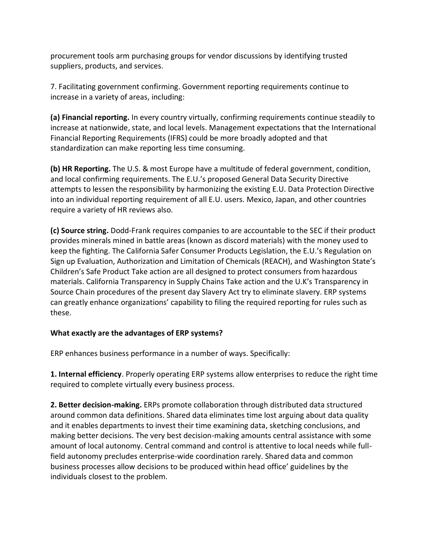procurement tools arm purchasing groups for vendor discussions by identifying trusted suppliers, products, and services.

7. Facilitating government confirming. Government reporting requirements continue to increase in a variety of areas, including:

**(a) Financial reporting.** In every country virtually, confirming requirements continue steadily to increase at nationwide, state, and local levels. Management expectations that the International Financial Reporting Requirements (IFRS) could be more broadly adopted and that standardization can make reporting less time consuming.

**(b) HR Reporting.** The U.S. & most Europe have a multitude of federal government, condition, and local confirming requirements. The E.U.'s proposed General Data Security Directive attempts to lessen the responsibility by harmonizing the existing E.U. Data Protection Directive into an individual reporting requirement of all E.U. users. Mexico, Japan, and other countries require a variety of HR reviews also.

**(c) Source string.** Dodd-Frank requires companies to are accountable to the SEC if their product provides minerals mined in battle areas (known as discord materials) with the money used to keep the fighting. The California Safer Consumer Products Legislation, the E.U.'s Regulation on Sign up Evaluation, Authorization and Limitation of Chemicals (REACH), and Washington State's Children's Safe Product Take action are all designed to protect consumers from hazardous materials. California Transparency in Supply Chains Take action and the U.K's Transparency in Source Chain procedures of the present day Slavery Act try to eliminate slavery. ERP systems can greatly enhance organizations' capability to filing the required reporting for rules such as these.

# **What exactly are the advantages of ERP systems?**

ERP enhances business performance in a number of ways. Specifically:

**1. Internal efficiency**. Properly operating ERP systems allow enterprises to reduce the right time required to complete virtually every business process.

**2. Better decision-making.** ERPs promote collaboration through distributed data structured around common data definitions. Shared data eliminates time lost arguing about data quality and it enables departments to invest their time examining data, sketching conclusions, and making better decisions. The very best decision-making amounts central assistance with some amount of local autonomy. Central command and control is attentive to local needs while fullfield autonomy precludes enterprise-wide coordination rarely. Shared data and common business processes allow decisions to be produced within head office' guidelines by the individuals closest to the problem.